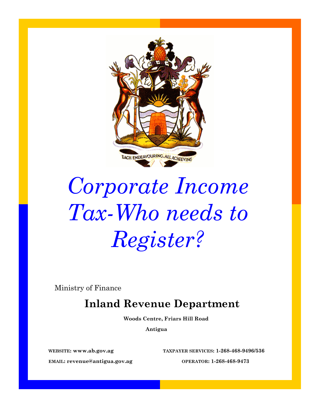

# *Corporate Income Tax-Who needs to Register?*

Ministry of Finance

## **Inland Revenue Department**

 **Woods Centre, Friars Hill Road**

 **Antigua**

**WEBSITE: www.ab.gov.ag TAXPAYER SERVICES: 1-268-468-9496/536**

**EMAIL: [revenue@antigua.gov.ag](mailto:irdinfo@antigua.gov.ag) OPERATOR: 1-268-468-9473**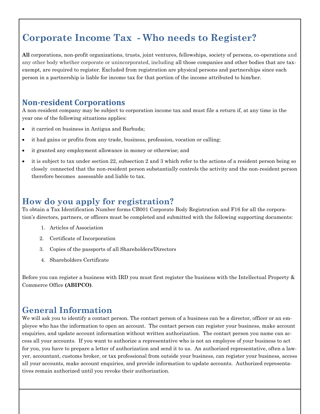# **Corporate Income Tax - Who needs to Register?**

**All** corporations, non-profit organizations, trusts, joint ventures, fellowships, society of persons, co-operations and any other body whether corporate or unincorporated, including all those companies and other bodies that are taxexempt, are required to register. Excluded from registration are physical persons and partnerships since each person in a partnership is liable for income tax for that portion of the income attributed to him/her.

#### **Non-resident Corporations**

A non-resident company may be subject to corporation income tax and must file a return if, at any time in the year one of the following situations applies:

- it carried on business in Antigua and Barbuda;
- it had gains or profits from any trade, business, profession, vocation or calling;
- it granted any employment allowance in money or otherwise; and
- it is subject to tax under section 22, subsection 2 and 3 which refer to the actions of a resident person being so closely connected that the non-resident person substantially controls the activity and the non-resident person therefore becomes assessable and liable to tax.

### **How do you apply for registration?**

To obtain a Tax Identification Number forms CB001 Corporate Body Registration and F16 for all the corporation's directors, partners, or officers must be completed and submitted with the following supporting documents:

- 1. Articles of Association
- 2. Certificate of Incorporation
- 3. Copies of the passports of all Shareholders/Directors
- 4. Shareholders Certificate

Before you can register a business with IRD you must first register the business with the Intellectual Property & Commerce Office **(ABIPCO)**.

#### **General Information**

We will ask you to identify a contact person. The contact person of a business can be a director, officer or an employee who has the information to open an account. The contact person can register your business, make account enquiries, and update account information without written authorization. The contact person you name can access all your accounts. If you want to authorize a representative who is not an employee of your business to act for you, you have to prepare a letter of authorization and send it to us. An authorized representative, often a lawyer, accountant, customs broker, or tax professional from outside your business, can register your business, access all your accounts, make account enquiries, and provide information to update accounts. Authorized representatives remain authorized until you revoke their authorization.